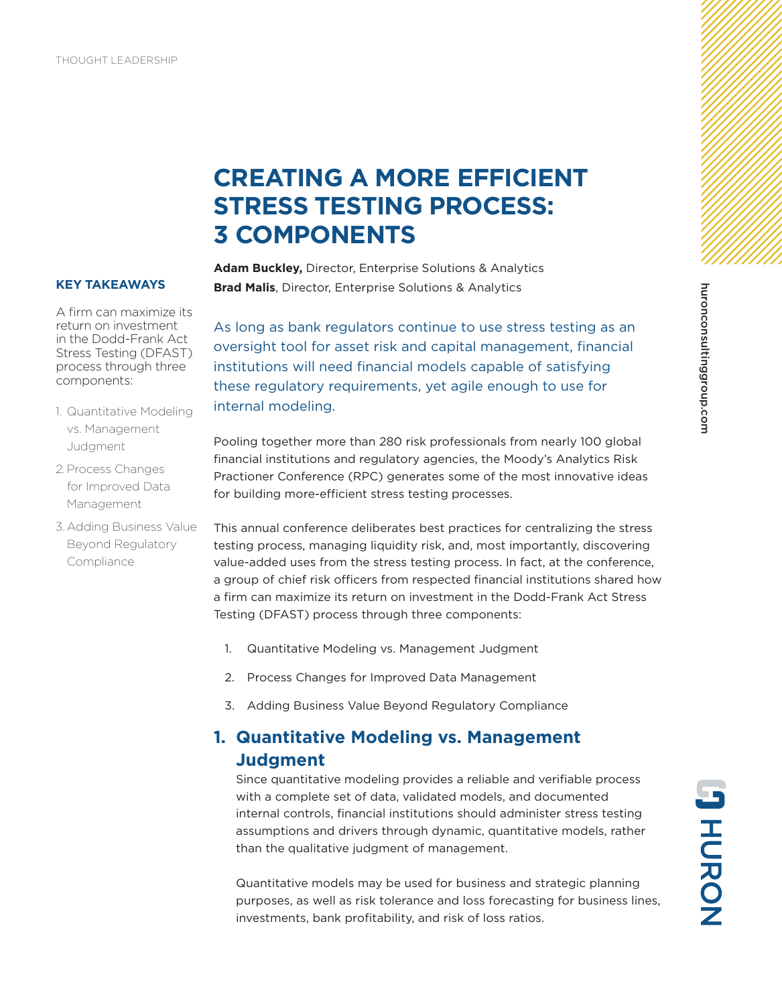# **CREATING A MORE EFFICIENT STRESS TESTING PROCESS: 3 COMPONENTS**

#### **KEY TAKEAWAYS**

A firm can maximize its return on investment in the Dodd-Frank Act Stress Testing (DFAST) process through three components:

- 1. Quantitative Modeling vs. Management Judgment
- 2. Process Changes for Improved Data Management
- 3. Adding Business Value Beyond Regulatory **Compliance**

**Adam Buckley,** Director, Enterprise Solutions & Analytics **Brad Malis**, Director, Enterprise Solutions & Analytics

As long as bank regulators continue to use stress testing as an oversight tool for asset risk and capital management, financial institutions will need financial models capable of satisfying these regulatory requirements, yet agile enough to use for internal modeling.

Pooling together more than 280 risk professionals from nearly 100 global financial institutions and regulatory agencies, the Moody's Analytics Risk Practioner Conference (RPC) generates some of the most innovative ideas for building more-efficient stress testing processes.

This annual conference deliberates best practices for centralizing the stress testing process, managing liquidity risk, and, most importantly, discovering value-added uses from the stress testing process. In fact, at the conference, a group of chief risk officers from respected financial institutions shared how a firm can maximize its return on investment in the Dodd-Frank Act Stress Testing (DFAST) process through three components:

- 1. Quantitative Modeling vs. Management Judgment
- 2. Process Changes for Improved Data Management
- 3. Adding Business Value Beyond Regulatory Compliance

## **1. Quantitative Modeling vs. Management Judgment**

Since quantitative modeling provides a reliable and verifiable process with a complete set of data, validated models, and documented internal controls, financial institutions should administer stress testing assumptions and drivers through dynamic, quantitative models, rather than the qualitative judgment of management.

Quantitative models may be used for business and strategic planning purposes, as well as risk tolerance and loss forecasting for business lines, investments, bank profitability, and risk of loss ratios.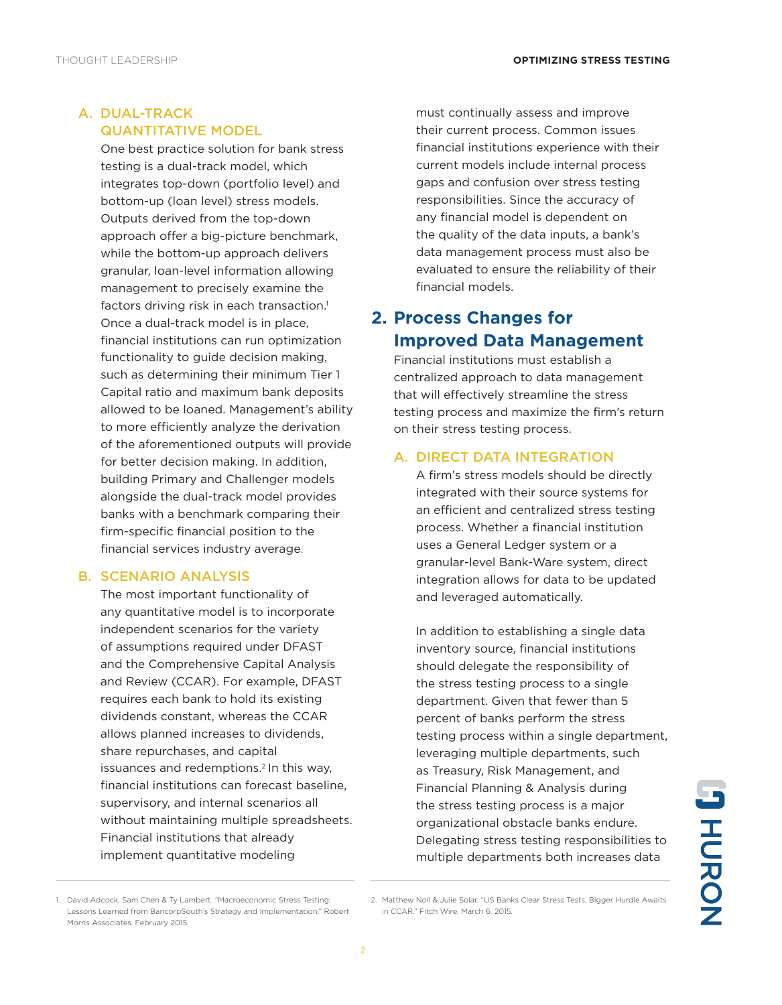### A. DUAL-TRACK QUANTITATIVE MODEL

One best practice solution for bank stress testing is a dual-track model, which integrates top-down (portfolio level) and bottom-up (loan level) stress models. Outputs derived from the top-down approach offer a big-picture benchmark, while the bottom-up approach delivers granular, loan-level information allowing management to precisely examine the factors driving risk in each transaction.<sup>1</sup> Once a dual-track model is in place, financial institutions can run optimization functionality to guide decision making, such as determining their minimum Tier 1 Capital ratio and maximum bank deposits allowed to be loaned. Management's ability to more efficiently analyze the derivation of the aforementioned outputs will provide for better decision making. In addition, building Primary and Challenger models alongside the dual-track model provides banks with a benchmark comparing their firm-specific financial position to the financial services industry average.

### B. SCENARIO ANALYSIS

The most important functionality of any quantitative model is to incorporate independent scenarios for the variety of assumptions required under DFAST and the Comprehensive Capital Analysis and Review (CCAR). For example, DFAST requires each bank to hold its existing dividends constant, whereas the CCAR allows planned increases to dividends, share repurchases, and capital issuances and redemptions.<sup>2</sup> In this way, financial institutions can forecast baseline, supervisory, and internal scenarios all without maintaining multiple spreadsheets. Financial institutions that already implement quantitative modeling

must continually assess and improve their current process. Common issues financial institutions experience with their current models include internal process gaps and confusion over stress testing responsibilities. Since the accuracy of any financial model is dependent on the quality of the data inputs, a bank's data management process must also be evaluated to ensure the reliability of their financial models.

### **2. Process Changes for Improved Data Management**

Financial institutions must establish a centralized approach to data management that will effectively streamline the stress testing process and maximize the firm's return on their stress testing process.

#### A. DIRECT DATA INTEGRATION

A firm's stress models should be directly integrated with their source systems for an efficient and centralized stress testing process. Whether a financial institution uses a General Ledger system or a granular-level Bank-Ware system, direct integration allows for data to be updated and leveraged automatically.

In addition to establishing a single data inventory source, financial institutions should delegate the responsibility of the stress testing process to a single department. Given that fewer than 5 percent of banks perform the stress testing process within a single department, leveraging multiple departments, such as Treasury, Risk Management, and Financial Planning & Analysis during the stress testing process is a major organizational obstacle banks endure. Delegating stress testing responsibilities to multiple departments both increases data

**JHURON** 

<sup>1.</sup> David Adcock, Sam Chen & Ty Lambert. "Macroeconomic Stress Testing: Lessons Learned from BancorpSouth's Strategy and Implementation." Robert Morris Associates. February 2015.

<sup>2.</sup> Matthew Noll & Julie Solar. "US Banks Clear Stress Tests, Bigger Hurdle Awaits in CCAR." Fitch Wire. March 6, 2015.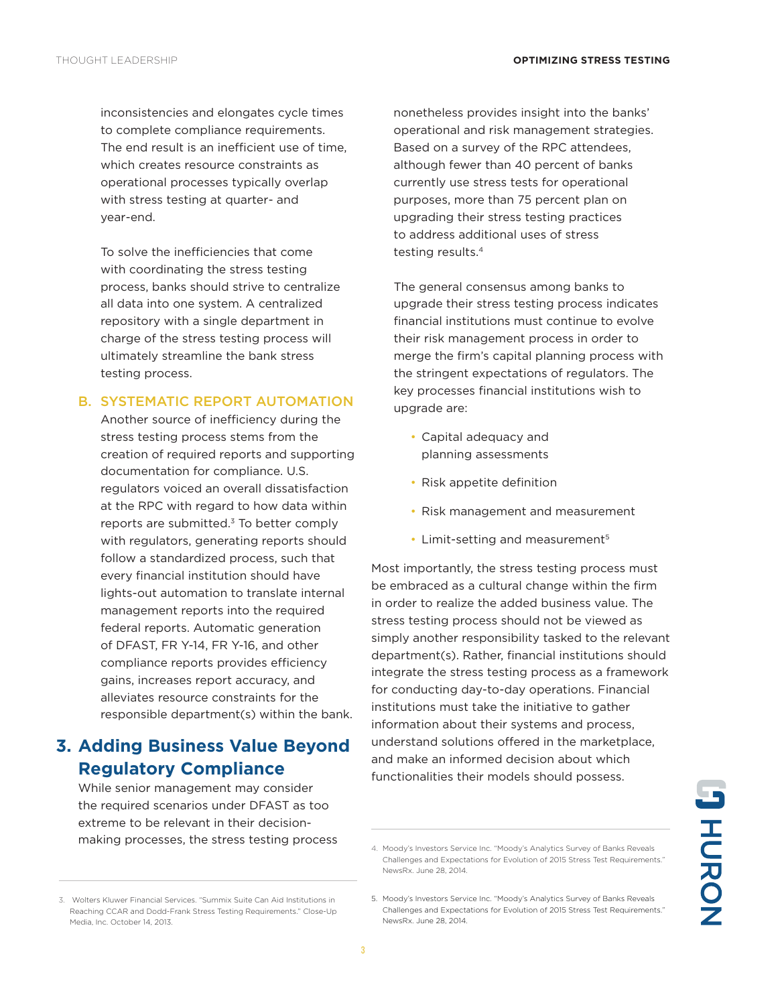inconsistencies and elongates cycle times to complete compliance requirements. The end result is an inefficient use of time, which creates resource constraints as operational processes typically overlap with stress testing at quarter- and year-end.

To solve the inefficiencies that come with coordinating the stress testing process, banks should strive to centralize all data into one system. A centralized repository with a single department in charge of the stress testing process will ultimately streamline the bank stress testing process.

#### B. SYSTEMATIC REPORT AUTOMATION

Another source of inefficiency during the stress testing process stems from the creation of required reports and supporting documentation for compliance. U.S. regulators voiced an overall dissatisfaction at the RPC with regard to how data within reports are submitted. $3$  To better comply with regulators, generating reports should follow a standardized process, such that every financial institution should have lights-out automation to translate internal management reports into the required federal reports. Automatic generation of DFAST, FR Y-14, FR Y-16, and other compliance reports provides efficiency gains, increases report accuracy, and alleviates resource constraints for the responsible department(s) within the bank.

## **3. Adding Business Value Beyond Regulatory Compliance**

While senior management may consider the required scenarios under DFAST as too extreme to be relevant in their decisionmaking processes, the stress testing process

3. Wolters Kluwer Financial Services. "Summix Suite Can Aid Institutions in Reaching CCAR and Dodd-Frank Stress Testing Requirements." Close-Up

Media, Inc. October 14, 2013.

nonetheless provides insight into the banks' operational and risk management strategies. Based on a survey of the RPC attendees, although fewer than 40 percent of banks currently use stress tests for operational purposes, more than 75 percent plan on upgrading their stress testing practices to address additional uses of stress testing results.4

The general consensus among banks to upgrade their stress testing process indicates financial institutions must continue to evolve their risk management process in order to merge the firm's capital planning process with the stringent expectations of regulators. The key processes financial institutions wish to upgrade are:

- Capital adequacy and planning assessments
- Risk appetite definition
- Risk management and measurement
- Limit-setting and measurement<sup>5</sup>

Most importantly, the stress testing process must be embraced as a cultural change within the firm in order to realize the added business value. The stress testing process should not be viewed as simply another responsibility tasked to the relevant department(s). Rather, financial institutions should integrate the stress testing process as a framework for conducting day-to-day operations. Financial institutions must take the initiative to gather information about their systems and process, understand solutions offered in the marketplace, and make an informed decision about which functionalities their models should possess.

<sup>4.</sup> Moody's Investors Service Inc. "Moody's Analytics Survey of Banks Reveals Challenges and Expectations for Evolution of 2015 Stress Test Requirements." NewsRx. June 28, 2014.

<sup>5.</sup> Moody's Investors Service Inc. "Moody's Analytics Survey of Banks Reveals Challenges and Expectations for Evolution of 2015 Stress Test Requirements." NewsRx. June 28, 2014.